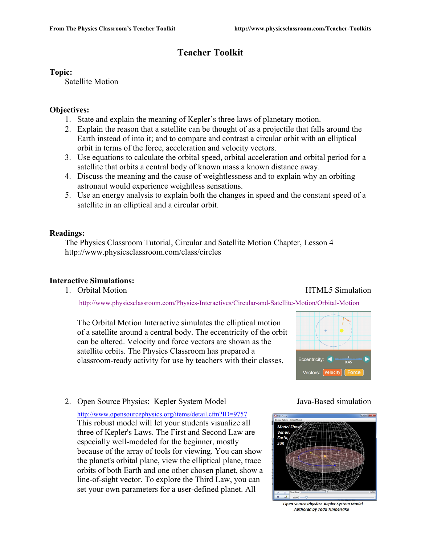# **Teacher Toolkit**

## **Topic:**

Satellite Motion

## **Objectives:**

- 1. State and explain the meaning of Kepler's three laws of planetary motion.
- 2. Explain the reason that a satellite can be thought of as a projectile that falls around the Earth instead of into it; and to compare and contrast a circular orbit with an elliptical orbit in terms of the force, acceleration and velocity vectors.
- 3. Use equations to calculate the orbital speed, orbital acceleration and orbital period for a satellite that orbits a central body of known mass a known distance away.
- 4. Discuss the meaning and the cause of weightlessness and to explain why an orbiting astronaut would experience weightless sensations.
- 5. Use an energy analysis to explain both the changes in speed and the constant speed of a satellite in an elliptical and a circular orbit.

## **Readings:**

The Physics Classroom Tutorial, Circular and Satellite Motion Chapter, Lesson 4 http://www.physicsclassroom.com/class/circles

## **Interactive Simulations:**

1. Orbital Motion **HTML5** Simulation

http://www.physicsclassroom.com/Physics-Interactives/Circular-and-Satellite-Motion/Orbital-Motion

The Orbital Motion Interactive simulates the elliptical motion of a satellite around a central body. The eccentricity of the orbit can be altered. Velocity and force vectors are shown as the satellite orbits. The Physics Classroom has prepared a classroom-ready activity for use by teachers with their classes.



2. Open Source Physics: Kepler System Model Java-Based simulation

http://www.opensourcephysics.org/items/detail.cfm?ID=9757 This robust model will let your students visualize all three of Kepler's Laws. The First and Second Law are especially well-modeled for the beginner, mostly because of the array of tools for viewing. You can show the planet's orbital plane, view the elliptical plane, trace orbits of both Earth and one other chosen planet, show a line-of-sight vector. To explore the Third Law, you can set your own parameters for a user-defined planet. All



Open Source Physics: Kepler System Model **Authored by Todd Timberlake**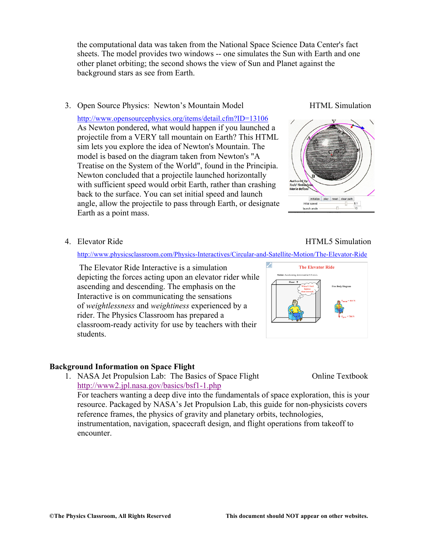the computational data was taken from the National Space Science Data Center's fact sheets. The model provides two windows -- one simulates the Sun with Earth and one other planet orbiting; the second shows the view of Sun and Planet against the background stars as see from Earth.

### 3. Open Source Physics: Newton's Mountain Model HTML Simulation

http://www.opensourcephysics.org/items/detail.cfm?ID=13106 As Newton pondered, what would happen if you launched a projectile from a VERY tall mountain on Earth? This HTML sim lets you explore the idea of Newton's Mountain. The model is based on the diagram taken from Newton's "A Treatise on the System of the World", found in the Principia. Newton concluded that a projectile launched horizontally with sufficient speed would orbit Earth, rather than crashing back to the surface. You can set initial speed and launch angle, allow the projectile to pass through Earth, or designate Earth as a point mass.



#### http://www.physicsclassroom.com/Physics-Interactives/Circular-and-Satellite-Motion/The-Elevator-Ride

 The Elevator Ride Interactive is a simulation depicting the forces acting upon an elevator rider while ascending and descending. The emphasis on the Interactive is on communicating the sensations of *weightlessness* and *weightiness* experienced by a rider. The Physics Classroom has prepared a classroom-ready activity for use by teachers with their students.

#### **Background Information on Space Flight**

1. NASA Jet Propulsion Lab: The Basics of Space Flight Online Textbook http://www2.jpl.nasa.gov/basics/bsf1-1.php

For teachers wanting a deep dive into the fundamentals of space exploration, this is your resource. Packaged by NASA's Jet Propulsion Lab, this guide for non-physicists covers reference frames, the physics of gravity and planetary orbits, technologies, instrumentation, navigation, spacecraft design, and flight operations from takeoff to encounter.

#### 4. Elevator Ride **HTML5** Simulation

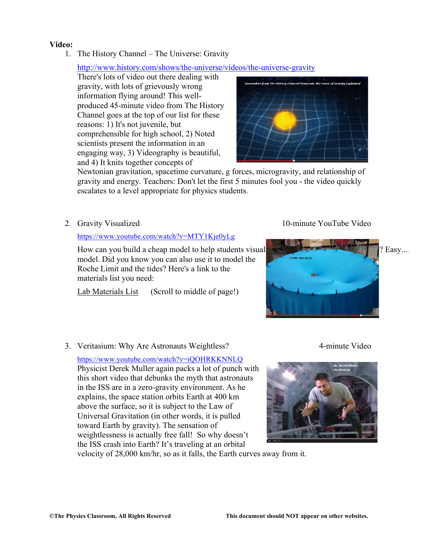## **Video:**

1. The History Channel – The Universe: Gravity

## http://www.history.com/shows/the-universe/videos/the-universe-gravity

There's lots of video out there dealing with gravity, with lots of grievously wrong information flying around! This wellproduced 45-minute video from The History Channel goes at the top of our list for these reasons: 1) It's not juvenile, but comprehensible for high school, 2) Noted scientists present the information in an engaging way, 3) Videography is beautiful, and 4) It knits together concepts of



Newtonian gravitation, spacetime curvature, g forces, microgravity, and relationship of gravity and energy. Teachers: Don't let the first 5 minutes fool you - the video quickly escalates to a level appropriate for physics students.

2. Gravity Visualized 10-minute YouTube Video

#### https://www.youtube.com/watch?v=MTY1Kje0yLg

How can you build a cheap model to help students visual  $\sim$  1. The manufacture of  $\sim$  2. Easy... model. Did you know you can also use it to model the Roche Limit and the tides? Here's a link to the materials list you need:

Lab Materials List (Scroll to middle of page!)



3. Veritasium: Why Are Astronauts Weightless? 4-minute Video

https://www.youtube.com/watch?v=iQOHRKKNNLQ Physicist Derek Muller again packs a lot of punch with this short video that debunks the myth that astronauts in the ISS are in a zero-gravity environment. As he explains, the space station orbits Earth at 400 km above the surface, so it is subject to the Law of Universal Gravitation (in other words, it is pulled toward Earth by gravity). The sensation of weightlessness is actually free fall! So why doesn't the ISS crash into Earth? It's traveling at an orbital

velocity of 28,000 km/hr, so as it falls, the Earth curves away from it.

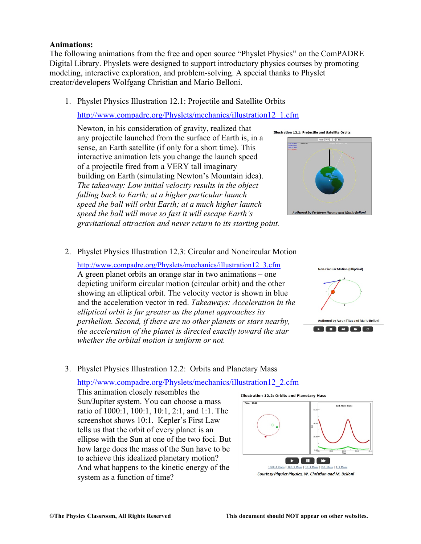### **Animations:**

The following animations from the free and open source "Physlet Physics" on the ComPADRE Digital Library. Physlets were designed to support introductory physics courses by promoting modeling, interactive exploration, and problem-solving. A special thanks to Physlet creator/developers Wolfgang Christian and Mario Belloni.

1. Physlet Physics Illustration 12.1: Projectile and Satellite Orbits

http://www.compadre.org/Physlets/mechanics/illustration12\_1.cfm

Newton, in his consideration of gravity, realized that any projectile launched from the surface of Earth is, in a sense, an Earth satellite (if only for a short time). This interactive animation lets you change the launch speed of a projectile fired from a VERY tall imaginary building on Earth (simulating Newton's Mountain idea). *The takeaway: Low initial velocity results in the object falling back to Earth; at a higher particular launch speed the ball will orbit Earth; at a much higher launch speed the ball will move so fast it will escape Earth's gravitational attraction and never return to its starting point.* 

Illustration 12.1: Projectile and Satellite Orbit:



2. Physlet Physics Illustration 12.3: Circular and Noncircular Motion

http://www.compadre.org/Physlets/mechanics/illustration12\_3.cfm A green planet orbits an orange star in two animations – one depicting uniform circular motion (circular orbit) and the other showing an elliptical orbit. The velocity vector is shown in blue and the acceleration vector in red. *Takeaways: Acceleration in the elliptical orbit is far greater as the planet approaches its perihelion. Second, if there are no other planets or stars nearby, the acceleration of the planet is directed exactly toward the star whether the orbital motion is uniform or not.* 



3. Physlet Physics Illustration 12.2: Orbits and Planetary Mass

http://www.compadre.org/Physlets/mechanics/illustration12\_2.cfm

This animation closely resembles the Sun/Jupiter system. You can choose a mass ratio of 1000:1, 100:1, 10:1, 2:1, and 1:1. The screenshot shows 10:1. Kepler's First Law tells us that the orbit of every planet is an ellipse with the Sun at one of the two foci. But how large does the mass of the Sun have to be to achieve this idealized planetary motion? And what happens to the kinetic energy of the system as a function of time?

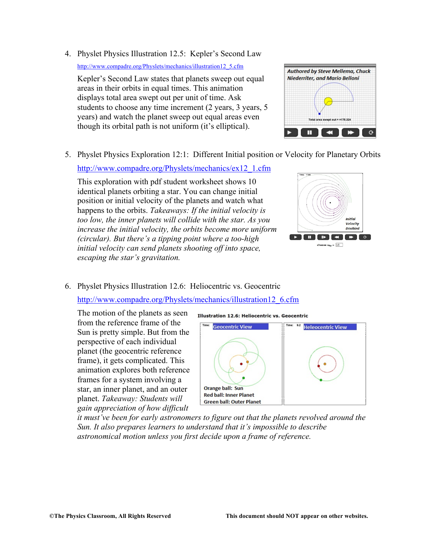4. Physlet Physics Illustration 12.5: Kepler's Second Law

http://www.compadre.org/Physlets/mechanics/illustration12\_5.cfm

Kepler's Second Law states that planets sweep out equal areas in their orbits in equal times. This animation displays total area swept out per unit of time. Ask students to choose any time increment (2 years, 3 years, 5 years) and watch the planet sweep out equal areas even though its orbital path is not uniform (it's elliptical).



5. Physlet Physics Exploration 12:1: Different Initial position or Velocity for Planetary Orbits

http://www.compadre.org/Physlets/mechanics/ex12\_1.cfm

This exploration with pdf student worksheet shows 10 identical planets orbiting a star. You can change initial position or initial velocity of the planets and watch what happens to the orbits. *Takeaways: If the initial velocity is too low, the inner planets will collide with the star. As you increase the initial velocity, the orbits become more uniform (circular). But there's a tipping point where a too-high initial velocity can send planets shooting off into space, escaping the star's gravitation.* 



6. Physlet Physics Illustration 12.6: Heliocentric vs. Geocentric

http://www.compadre.org/Physlets/mechanics/illustration12\_6.cfm

The motion of the planets as seen from the reference frame of the Sun is pretty simple. But from the perspective of each individual planet (the geocentric reference frame), it gets complicated. This animation explores both reference frames for a system involving a star, an inner planet, and an outer planet. *Takeaway: Students will gain appreciation of how difficult* 

Illustration 12.6: Heliocentric vs. Geocentric



*it must've been for early astronomers to figure out that the planets revolved around the Sun. It also prepares learners to understand that it's impossible to describe astronomical motion unless you first decide upon a frame of reference.*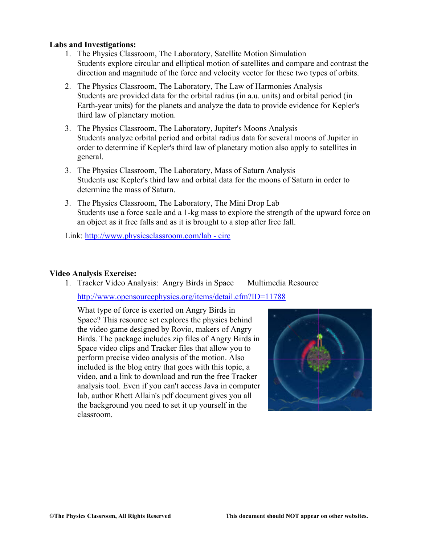### **Labs and Investigations:**

- 1. The Physics Classroom, The Laboratory, Satellite Motion Simulation Students explore circular and elliptical motion of satellites and compare and contrast the direction and magnitude of the force and velocity vector for these two types of orbits.
- 2. The Physics Classroom, The Laboratory, The Law of Harmonies Analysis Students are provided data for the orbital radius (in a.u. units) and orbital period (in Earth-year units) for the planets and analyze the data to provide evidence for Kepler's third law of planetary motion.
- 3. The Physics Classroom, The Laboratory, Jupiter's Moons Analysis Students analyze orbital period and orbital radius data for several moons of Jupiter in order to determine if Kepler's third law of planetary motion also apply to satellites in general.
- 3. The Physics Classroom, The Laboratory, Mass of Saturn Analysis Students use Kepler's third law and orbital data for the moons of Saturn in order to determine the mass of Saturn.
- 3. The Physics Classroom, The Laboratory, The Mini Drop Lab Students use a force scale and a 1-kg mass to explore the strength of the upward force on an object as it free falls and as it is brought to a stop after free fall.

Link: http://www.physicsclassroom.com/lab - circ

#### **Video Analysis Exercise:**

1. Tracker Video Analysis: Angry Birds in Space Multimedia Resource http://www.opensourcephysics.org/items/detail.cfm?ID=11788

What type of force is exerted on Angry Birds in Space? This resource set explores the physics behind the video game designed by Rovio, makers of Angry Birds. The package includes zip files of Angry Birds in Space video clips and Tracker files that allow you to perform precise video analysis of the motion. Also included is the blog entry that goes with this topic, a video, and a link to download and run the free Tracker analysis tool. Even if you can't access Java in computer lab, author Rhett Allain's pdf document gives you all the background you need to set it up yourself in the classroom.

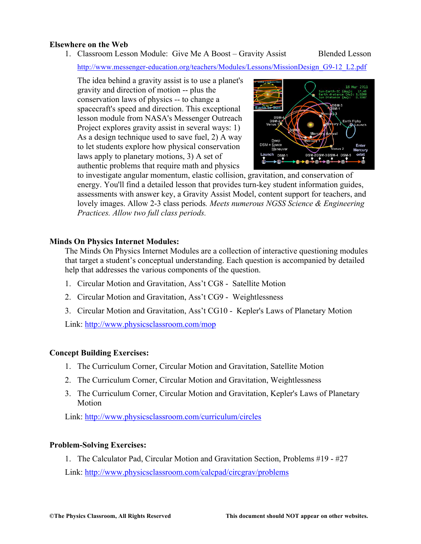#### **Elsewhere on the Web**

1. Classroom Lesson Module: Give Me A Boost – Gravity Assist Blended Lesson

http://www.messenger-education.org/teachers/Modules/Lessons/MissionDesign\_G9-12\_L2.pdf

The idea behind a gravity assist is to use a planet's gravity and direction of motion -- plus the conservation laws of physics -- to change a spacecraft's speed and direction. This exceptional lesson module from NASA's Messenger Outreach Project explores gravity assist in several ways: 1) As a design technique used to save fuel, 2) A way to let students explore how physical conservation laws apply to planetary motions, 3) A set of authentic problems that require math and physics



to investigate angular momentum, elastic collision, gravitation, and conservation of energy. You'll find a detailed lesson that provides turn-key student information guides, assessments with answer key, a Gravity Assist Model, content support for teachers, and lovely images. Allow 2-3 class periods*. Meets numerous NGSS Science & Engineering Practices. Allow two full class periods.*

#### **Minds On Physics Internet Modules:**

The Minds On Physics Internet Modules are a collection of interactive questioning modules that target a student's conceptual understanding. Each question is accompanied by detailed help that addresses the various components of the question.

- 1. Circular Motion and Gravitation, Ass't CG8 Satellite Motion
- 2. Circular Motion and Gravitation, Ass't CG9 Weightlessness
- 3. Circular Motion and Gravitation, Ass't CG10 Kepler's Laws of Planetary Motion

Link: http://www.physicsclassroom.com/mop

#### **Concept Building Exercises:**

- 1. The Curriculum Corner, Circular Motion and Gravitation, Satellite Motion
- 2. The Curriculum Corner, Circular Motion and Gravitation, Weightlessness
- 3. The Curriculum Corner, Circular Motion and Gravitation, Kepler's Laws of Planetary Motion

Link: http://www.physicsclassroom.com/curriculum/circles

#### **Problem-Solving Exercises:**

1. The Calculator Pad, Circular Motion and Gravitation Section, Problems #19 - #27 Link: http://www.physicsclassroom.com/calcpad/circgrav/problems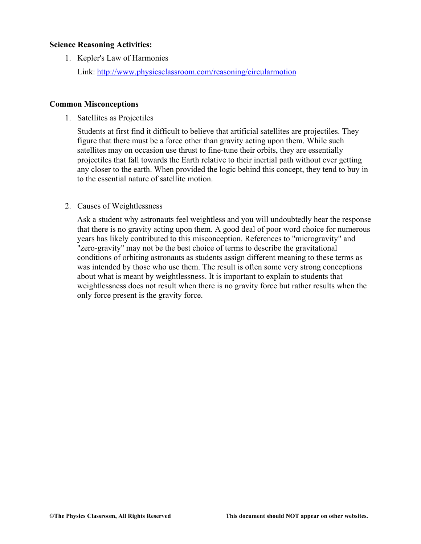### **Science Reasoning Activities:**

1. Kepler's Law of Harmonies

Link: http://www.physicsclassroom.com/reasoning/circularmotion

### **Common Misconceptions**

1. Satellites as Projectiles

Students at first find it difficult to believe that artificial satellites are projectiles. They figure that there must be a force other than gravity acting upon them. While such satellites may on occasion use thrust to fine-tune their orbits, they are essentially projectiles that fall towards the Earth relative to their inertial path without ever getting any closer to the earth. When provided the logic behind this concept, they tend to buy in to the essential nature of satellite motion.

2. Causes of Weightlessness

Ask a student why astronauts feel weightless and you will undoubtedly hear the response that there is no gravity acting upon them. A good deal of poor word choice for numerous years has likely contributed to this misconception. References to "microgravity" and "zero-gravity" may not be the best choice of terms to describe the gravitational conditions of orbiting astronauts as students assign different meaning to these terms as was intended by those who use them. The result is often some very strong conceptions about what is meant by weightlessness. It is important to explain to students that weightlessness does not result when there is no gravity force but rather results when the only force present is the gravity force.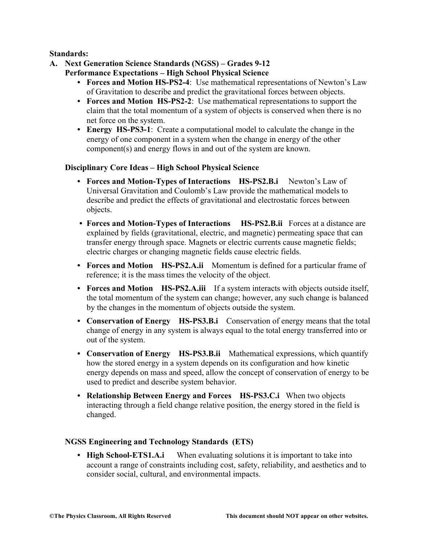## **Standards:**

- **A. Next Generation Science Standards (NGSS) Grades 9-12 Performance Expectations – High School Physical Science**
	- **• Forces and Motion HS-PS2-4**: Use mathematical representations of Newton's Law of Gravitation to describe and predict the gravitational forces between objects.
	- **• Forces and Motion HS-PS2-2**: Use mathematical representations to support the claim that the total momentum of a system of objects is conserved when there is no net force on the system.
	- **• Energy HS-PS3-1**: Create a computational model to calculate the change in the energy of one component in a system when the change in energy of the other component(s) and energy flows in and out of the system are known.

## **Disciplinary Core Ideas – High School Physical Science**

- **• Forces and Motion-Types of Interactions HS-PS2.B.i** Newton's Law of Universal Gravitation and Coulomb's Law provide the mathematical models to describe and predict the effects of gravitational and electrostatic forces between objects.
- **• Forces and Motion-Types of Interactions HS-PS2.B.ii** Forces at a distance are explained by fields (gravitational, electric, and magnetic) permeating space that can transfer energy through space. Magnets or electric currents cause magnetic fields; electric charges or changing magnetic fields cause electric fields.
- **• Forces and Motion HS-PS2.A.ii** Momentum is defined for a particular frame of reference; it is the mass times the velocity of the object.
- **• Forces and Motion HS-PS2.A.iii** If a system interacts with objects outside itself, the total momentum of the system can change; however, any such change is balanced by the changes in the momentum of objects outside the system.
- **• Conservation of Energy HS-PS3.B.i** Conservation of energy means that the total change of energy in any system is always equal to the total energy transferred into or out of the system.
- **• Conservation of Energy HS-PS3.B.ii** Mathematical expressions, which quantify how the stored energy in a system depends on its configuration and how kinetic energy depends on mass and speed, allow the concept of conservation of energy to be used to predict and describe system behavior.
- **• Relationship Between Energy and Forces HS-PS3.C.i** When two objects interacting through a field change relative position, the energy stored in the field is changed.

#### **NGSS Engineering and Technology Standards (ETS)**

**• High School-ETS1.A.i** When evaluating solutions it is important to take into account a range of constraints including cost, safety, reliability, and aesthetics and to consider social, cultural, and environmental impacts.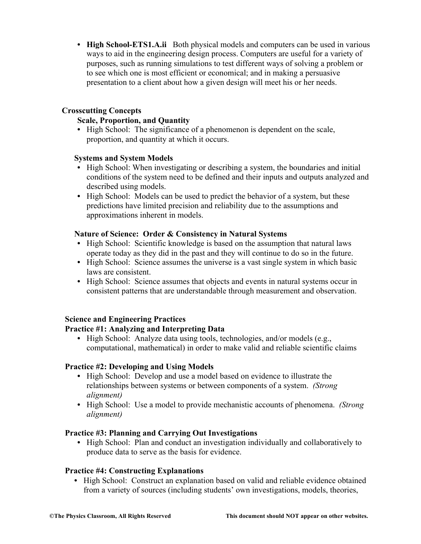• **High School-ETS1.A.ii** Both physical models and computers can be used in various ways to aid in the engineering design process. Computers are useful for a variety of purposes, such as running simulations to test different ways of solving a problem or to see which one is most efficient or economical; and in making a persuasive presentation to a client about how a given design will meet his or her needs.

## **Crosscutting Concepts**

## **Scale, Proportion, and Quantity**

**•** High School: The significance of a phenomenon is dependent on the scale, proportion, and quantity at which it occurs.

#### **Systems and System Models**

- High School: When investigating or describing a system, the boundaries and initial conditions of the system need to be defined and their inputs and outputs analyzed and described using models.
- **•** High School: Models can be used to predict the behavior of a system, but these predictions have limited precision and reliability due to the assumptions and approximations inherent in models.

## **Nature of Science: Order & Consistency in Natural Systems**

- **•** High School: Scientific knowledge is based on the assumption that natural laws operate today as they did in the past and they will continue to do so in the future.
- **•** High School: Science assumes the universe is a vast single system in which basic laws are consistent.
- High School: Science assumes that objects and events in natural systems occur in consistent patterns that are understandable through measurement and observation.

## **Science and Engineering Practices**

## **Practice #1: Analyzing and Interpreting Data**

**•** High School: Analyze data using tools, technologies, and/or models (e.g., computational, mathematical) in order to make valid and reliable scientific claims

## **Practice #2: Developing and Using Models**

- **•** High School: Develop and use a model based on evidence to illustrate the relationships between systems or between components of a system. *(Strong alignment)*
- **•** High School: Use a model to provide mechanistic accounts of phenomena. *(Strong alignment)*

## **Practice #3: Planning and Carrying Out Investigations**

**•** High School: Plan and conduct an investigation individually and collaboratively to produce data to serve as the basis for evidence.

## **Practice #4: Constructing Explanations**

**•** High School: Construct an explanation based on valid and reliable evidence obtained from a variety of sources (including students' own investigations, models, theories,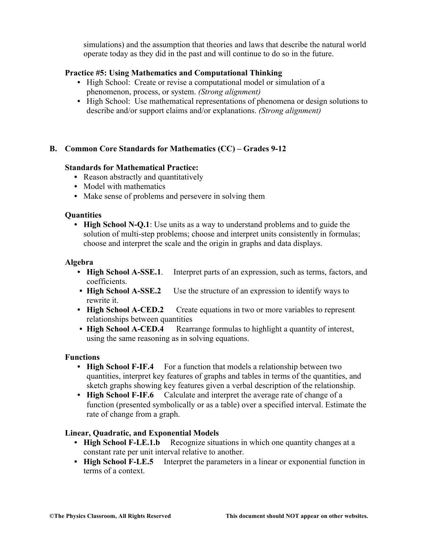simulations) and the assumption that theories and laws that describe the natural world operate today as they did in the past and will continue to do so in the future.

## **Practice #5: Using Mathematics and Computational Thinking**

- **•** High School: Create or revise a computational model or simulation of a phenomenon, process, or system. *(Strong alignment)*
- High School: Use mathematical representations of phenomena or design solutions to describe and/or support claims and/or explanations. *(Strong alignment)*

## **B. Common Core Standards for Mathematics (CC) – Grades 9-12**

## **Standards for Mathematical Practice:**

- Reason abstractly and quantitatively
- **•** Model with mathematics
- **•** Make sense of problems and persevere in solving them

## **Quantities**

**• High School N-Q.1**: Use units as a way to understand problems and to guide the solution of multi-step problems; choose and interpret units consistently in formulas; choose and interpret the scale and the origin in graphs and data displays.

## **Algebra**

- **• High School A-SSE.1**. Interpret parts of an expression, such as terms, factors, and coefficients.
- **High School A-SSE.2** Use the structure of an expression to identify ways to rewrite it.
- **High School A-CED.2** Create equations in two or more variables to represent relationships between quantities
- **High School A-CED.4** Rearrange formulas to highlight a quantity of interest, using the same reasoning as in solving equations.

## **Functions**

- **High School F-IF.4** For a function that models a relationship between two quantities, interpret key features of graphs and tables in terms of the quantities, and sketch graphs showing key features given a verbal description of the relationship.
- **• High School F-IF.6** Calculate and interpret the average rate of change of a function (presented symbolically or as a table) over a specified interval. Estimate the rate of change from a graph.

## **Linear, Quadratic, and Exponential Models**

- **High School F-LE.1.b** Recognize situations in which one quantity changes at a constant rate per unit interval relative to another.
- **High School F-LE.5** Interpret the parameters in a linear or exponential function in terms of a context.